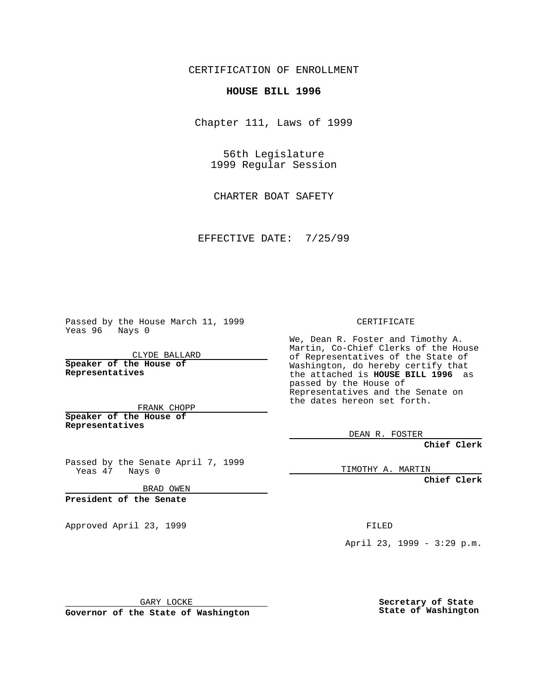CERTIFICATION OF ENROLLMENT

## **HOUSE BILL 1996**

Chapter 111, Laws of 1999

56th Legislature 1999 Regular Session

CHARTER BOAT SAFETY

EFFECTIVE DATE: 7/25/99

Passed by the House March 11, 1999 Yeas 96 Nays 0

CLYDE BALLARD **Speaker of the House of Representatives**

FRANK CHOPP **Speaker of the House of Representatives**

Passed by the Senate April 7, 1999 Yeas 47 Nays 0

BRAD OWEN

**President of the Senate**

Approved April 23, 1999 FILED

## CERTIFICATE

We, Dean R. Foster and Timothy A. Martin, Co-Chief Clerks of the House of Representatives of the State of Washington, do hereby certify that the attached is **HOUSE BILL 1996** as passed by the House of Representatives and the Senate on the dates hereon set forth.

DEAN R. FOSTER

**Chief Clerk**

TIMOTHY A. MARTIN

**Chief Clerk**

April 23, 1999 - 3:29 p.m.

GARY LOCKE

**Governor of the State of Washington**

**Secretary of State State of Washington**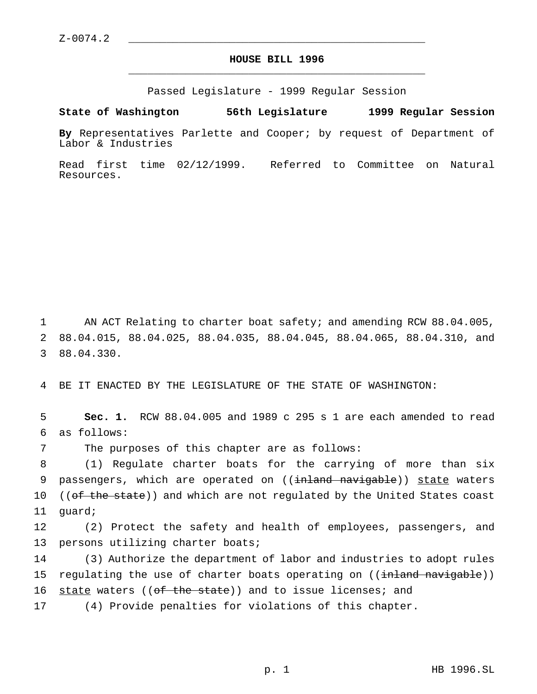## **HOUSE BILL 1996** \_\_\_\_\_\_\_\_\_\_\_\_\_\_\_\_\_\_\_\_\_\_\_\_\_\_\_\_\_\_\_\_\_\_\_\_\_\_\_\_\_\_\_\_\_\_\_

Passed Legislature - 1999 Regular Session

## **State of Washington 56th Legislature 1999 Regular Session**

**By** Representatives Parlette and Cooper; by request of Department of Labor & Industries

Read first time 02/12/1999. Referred to Committee on Natural Resources.

1 AN ACT Relating to charter boat safety; and amending RCW 88.04.005, 2 88.04.015, 88.04.025, 88.04.035, 88.04.045, 88.04.065, 88.04.310, and 3 88.04.330.

4 BE IT ENACTED BY THE LEGISLATURE OF THE STATE OF WASHINGTON:

5 **Sec. 1.** RCW 88.04.005 and 1989 c 295 s 1 are each amended to read 6 as follows:

7 The purposes of this chapter are as follows:

8 (1) Regulate charter boats for the carrying of more than six 9 passengers, which are operated on ((inland navigable)) state waters 10 ((of the state)) and which are not regulated by the United States coast 11 guard;

12 (2) Protect the safety and health of employees, passengers, and 13 persons utilizing charter boats;

14 (3) Authorize the department of labor and industries to adopt rules 15 regulating the use of charter boats operating on ((<del>inland navigable</del>)) 16 state waters ((of the state)) and to issue licenses; and

17 (4) Provide penalties for violations of this chapter.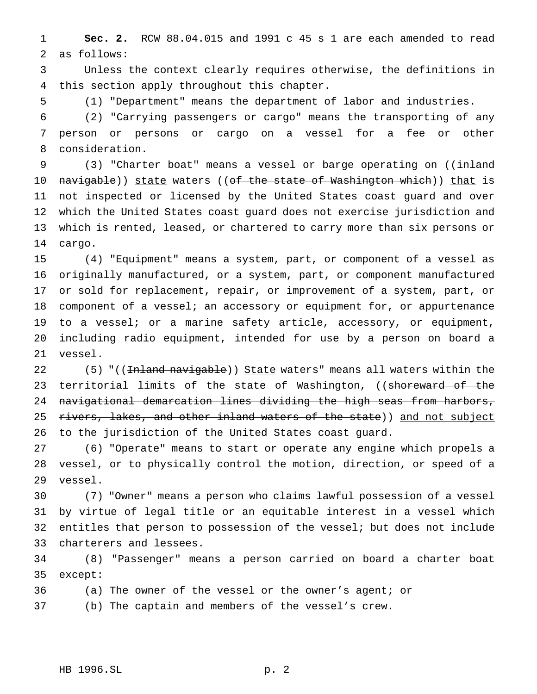**Sec. 2.** RCW 88.04.015 and 1991 c 45 s 1 are each amended to read as follows:

 Unless the context clearly requires otherwise, the definitions in this section apply throughout this chapter.

(1) "Department" means the department of labor and industries.

 (2) "Carrying passengers or cargo" means the transporting of any person or persons or cargo on a vessel for a fee or other consideration.

9 (3) "Charter boat" means a vessel or barge operating on ((inland 10 navigable)) state waters ((<del>of the state of Washington which</del>)) <u>that</u> is not inspected or licensed by the United States coast guard and over which the United States coast guard does not exercise jurisdiction and which is rented, leased, or chartered to carry more than six persons or cargo.

 (4) "Equipment" means a system, part, or component of a vessel as originally manufactured, or a system, part, or component manufactured or sold for replacement, repair, or improvement of a system, part, or component of a vessel; an accessory or equipment for, or appurtenance to a vessel; or a marine safety article, accessory, or equipment, including radio equipment, intended for use by a person on board a vessel.

22 (5) "((<del>Inland navigable</del>)) State waters" means all waters within the 23 territorial limits of the state of Washington, ((shoreward of the navigational demarcation lines dividing the high seas from harbors, 25 rivers, lakes, and other inland waters of the state)) and not subject 26 to the jurisdiction of the United States coast guard.

 (6) "Operate" means to start or operate any engine which propels a vessel, or to physically control the motion, direction, or speed of a vessel.

 (7) "Owner" means a person who claims lawful possession of a vessel by virtue of legal title or an equitable interest in a vessel which entitles that person to possession of the vessel; but does not include charterers and lessees.

 (8) "Passenger" means a person carried on board a charter boat except:

(a) The owner of the vessel or the owner's agent; or

(b) The captain and members of the vessel's crew.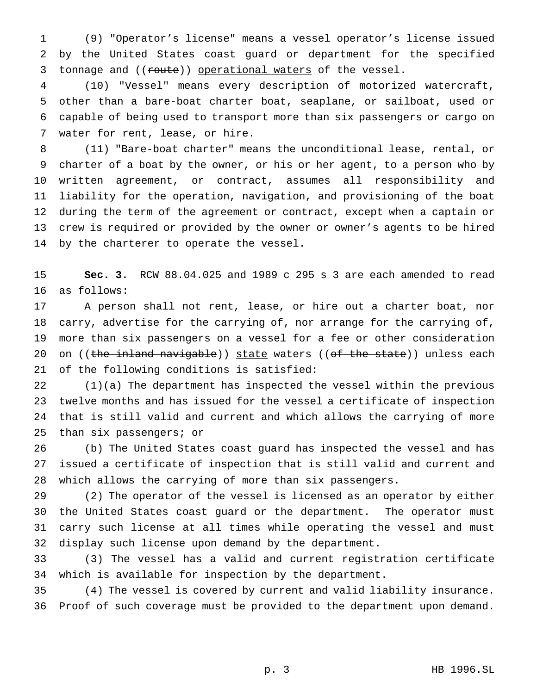(9) "Operator's license" means a vessel operator's license issued by the United States coast guard or department for the specified 3 tonnage and ((route)) operational waters of the vessel.

 (10) "Vessel" means every description of motorized watercraft, other than a bare-boat charter boat, seaplane, or sailboat, used or capable of being used to transport more than six passengers or cargo on water for rent, lease, or hire.

 (11) "Bare-boat charter" means the unconditional lease, rental, or charter of a boat by the owner, or his or her agent, to a person who by written agreement, or contract, assumes all responsibility and liability for the operation, navigation, and provisioning of the boat during the term of the agreement or contract, except when a captain or crew is required or provided by the owner or owner's agents to be hired by the charterer to operate the vessel.

 **Sec. 3.** RCW 88.04.025 and 1989 c 295 s 3 are each amended to read as follows:

 A person shall not rent, lease, or hire out a charter boat, nor carry, advertise for the carrying of, nor arrange for the carrying of, more than six passengers on a vessel for a fee or other consideration 20 on ((the inland navigable)) state waters (( $of$  the state)) unless each of the following conditions is satisfied:

 (1)(a) The department has inspected the vessel within the previous twelve months and has issued for the vessel a certificate of inspection that is still valid and current and which allows the carrying of more than six passengers; or

 (b) The United States coast guard has inspected the vessel and has issued a certificate of inspection that is still valid and current and which allows the carrying of more than six passengers.

 (2) The operator of the vessel is licensed as an operator by either the United States coast guard or the department. The operator must carry such license at all times while operating the vessel and must display such license upon demand by the department.

 (3) The vessel has a valid and current registration certificate which is available for inspection by the department.

 (4) The vessel is covered by current and valid liability insurance. Proof of such coverage must be provided to the department upon demand.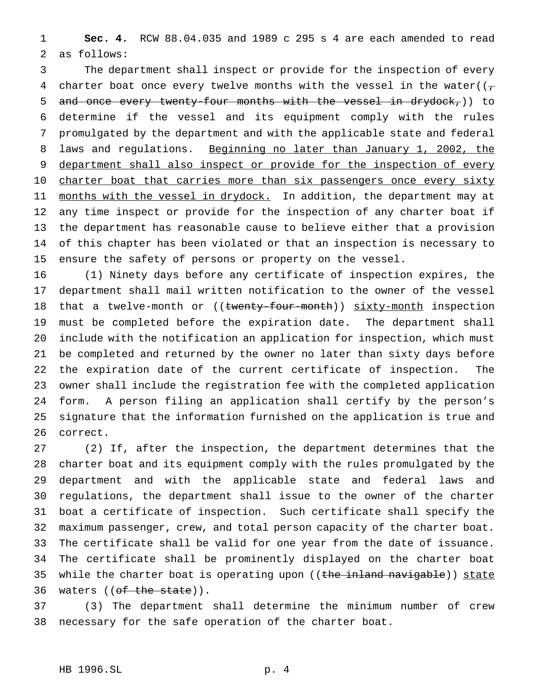**Sec. 4.** RCW 88.04.035 and 1989 c 295 s 4 are each amended to read as follows:

 The department shall inspect or provide for the inspection of every 4 charter boat once every twelve months with the vessel in the water( $(\tau$ 5 and once every twenty-four months with the vessel in drydock,)) to determine if the vessel and its equipment comply with the rules promulgated by the department and with the applicable state and federal 8 laws and regulations. Beginning no later than January 1, 2002, the 9 department shall also inspect or provide for the inspection of every 10 charter boat that carries more than six passengers once every sixty 11 months with the vessel in drydock. In addition, the department may at any time inspect or provide for the inspection of any charter boat if the department has reasonable cause to believe either that a provision of this chapter has been violated or that an inspection is necessary to ensure the safety of persons or property on the vessel.

 (1) Ninety days before any certificate of inspection expires, the department shall mail written notification to the owner of the vessel 18 that a twelve-month or ((twenty-four-month)) sixty-month inspection must be completed before the expiration date. The department shall include with the notification an application for inspection, which must be completed and returned by the owner no later than sixty days before the expiration date of the current certificate of inspection. The owner shall include the registration fee with the completed application form. A person filing an application shall certify by the person's signature that the information furnished on the application is true and correct.

 (2) If, after the inspection, the department determines that the charter boat and its equipment comply with the rules promulgated by the department and with the applicable state and federal laws and regulations, the department shall issue to the owner of the charter boat a certificate of inspection. Such certificate shall specify the maximum passenger, crew, and total person capacity of the charter boat. The certificate shall be valid for one year from the date of issuance. The certificate shall be prominently displayed on the charter boat 35 while the charter boat is operating upon ((the inland navigable)) state 36 waters ((of the state)).

 (3) The department shall determine the minimum number of crew necessary for the safe operation of the charter boat.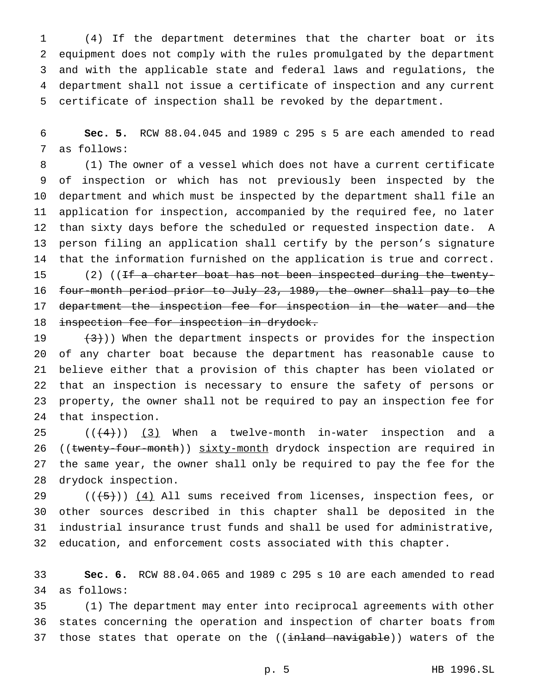(4) If the department determines that the charter boat or its equipment does not comply with the rules promulgated by the department and with the applicable state and federal laws and regulations, the department shall not issue a certificate of inspection and any current certificate of inspection shall be revoked by the department.

 **Sec. 5.** RCW 88.04.045 and 1989 c 295 s 5 are each amended to read as follows:

 (1) The owner of a vessel which does not have a current certificate of inspection or which has not previously been inspected by the department and which must be inspected by the department shall file an application for inspection, accompanied by the required fee, no later than sixty days before the scheduled or requested inspection date. A person filing an application shall certify by the person's signature that the information furnished on the application is true and correct. 15 (2) ((If a charter boat has not been inspected during the twenty-four-month period prior to July 23, 1989, the owner shall pay to the

17 department the inspection fee for inspection in the water and the 18 inspection fee for inspection in drydock.

 $(3)$ )) When the department inspects or provides for the inspection of any charter boat because the department has reasonable cause to believe either that a provision of this chapter has been violated or that an inspection is necessary to ensure the safety of persons or property, the owner shall not be required to pay an inspection fee for that inspection.

 $((+4))$   $(3)$  When a twelve-month in-water inspection and a 26 ((twenty-four-month)) sixty-month drydock inspection are required in the same year, the owner shall only be required to pay the fee for the drydock inspection.

29 ( $(\overline{5})$ ) (4) All sums received from licenses, inspection fees, or other sources described in this chapter shall be deposited in the industrial insurance trust funds and shall be used for administrative, education, and enforcement costs associated with this chapter.

 **Sec. 6.** RCW 88.04.065 and 1989 c 295 s 10 are each amended to read as follows:

 (1) The department may enter into reciprocal agreements with other states concerning the operation and inspection of charter boats from 37 those states that operate on the ((inland navigable)) waters of the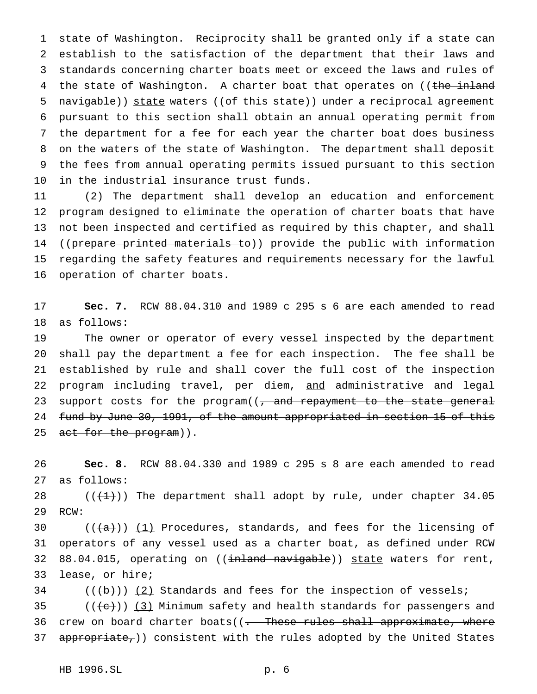state of Washington. Reciprocity shall be granted only if a state can establish to the satisfaction of the department that their laws and standards concerning charter boats meet or exceed the laws and rules of 4 the state of Washington. A charter boat that operates on ((the inland 5 navigable)) state waters ((of this state)) under a reciprocal agreement pursuant to this section shall obtain an annual operating permit from the department for a fee for each year the charter boat does business on the waters of the state of Washington. The department shall deposit the fees from annual operating permits issued pursuant to this section in the industrial insurance trust funds.

 (2) The department shall develop an education and enforcement program designed to eliminate the operation of charter boats that have not been inspected and certified as required by this chapter, and shall 14 ((prepare printed materials to)) provide the public with information regarding the safety features and requirements necessary for the lawful operation of charter boats.

 **Sec. 7.** RCW 88.04.310 and 1989 c 295 s 6 are each amended to read as follows:

 The owner or operator of every vessel inspected by the department shall pay the department a fee for each inspection. The fee shall be established by rule and shall cover the full cost of the inspection program including travel, per diem, and administrative and legal 23 support costs for the program((, and repayment to the state general 24 fund by June 30, 1991, of the amount appropriated in section 15 of this 25 act for the program)).

 **Sec. 8.** RCW 88.04.330 and 1989 c 295 s 8 are each amended to read as follows:

28  $((+1))$  The department shall adopt by rule, under chapter 34.05 RCW:

 $((+a))$   $(1)$  Procedures, standards, and fees for the licensing of operators of any vessel used as a charter boat, as defined under RCW 32 88.04.015, operating on ((inland navigable)) state waters for rent, lease, or hire;

(( $\left(\frac{b}{b}\right)$ ) (2) Standards and fees for the inspection of vessels;

35  $((+e))$   $(3)$  Minimum safety and health standards for passengers and 36 crew on board charter boats((<del>. These rules shall approximate, where</del> 37 appropriate,)) consistent with the rules adopted by the United States